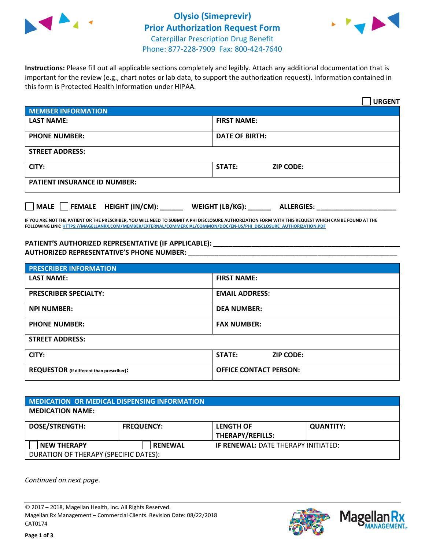



**Instructions:** Please fill out all applicable sections completely and legibly. Attach any additional documentation that is important for the review (e.g., chart notes or lab data, to support the authorization request). Information contained in this form is Protected Health Information under HIPAA.

|                                       | <b>URGENT</b>                        |  |
|---------------------------------------|--------------------------------------|--|
| <b>MEMBER INFORMATION</b>             |                                      |  |
| <b>LAST NAME:</b>                     | <b>FIRST NAME:</b>                   |  |
| <b>PHONE NUMBER:</b>                  | <b>DATE OF BIRTH:</b>                |  |
| <b>STREET ADDRESS:</b>                |                                      |  |
| CITY:                                 | STATE:<br><b>ZIP CODE:</b>           |  |
| <b>PATIENT INSURANCE ID NUMBER:</b>   |                                      |  |
| FEMALE HEIGHT (IN/CM):<br><b>MALE</b> | WEIGHT (LB/KG):<br><b>ALLERGIES:</b> |  |

**IF YOU ARE NOT THE PATIENT OR THE PRESCRIBER, YOU WILL NEED TO SUBMIT A PHI DISCLOSURE AUTHORIZATION FORM WITH THIS REQUEST WHICH CAN BE FOUND AT THE FOLLOWING LINK[: HTTPS://MAGELLANRX.COM/MEMBER/EXTERNAL/COMMERCIAL/COMMON/DOC/EN-US/PHI\\_DISCLOSURE\\_AUTHORIZATION.PDF](https://magellanrx.com/member/external/commercial/common/doc/en-us/PHI_Disclosure_Authorization.pdf)**

**PATIENT'S AUTHORIZED REPRESENTATIVE (IF APPLICABLE): \_\_\_\_\_\_\_\_\_\_\_\_\_\_\_\_\_\_\_\_\_\_\_\_\_\_\_\_\_\_\_\_\_\_\_\_\_\_\_\_\_\_\_\_\_\_\_\_\_ AUTHORIZED REPRESENTATIVE'S PHONE NUMBER:** \_\_\_\_\_\_\_\_\_\_\_\_\_\_\_\_\_\_\_\_\_\_\_\_\_\_\_\_\_\_\_\_\_\_\_\_\_\_\_\_\_\_\_\_\_\_\_\_\_\_\_\_\_\_\_

| <b>PRESCRIBER INFORMATION</b>             |                                   |  |
|-------------------------------------------|-----------------------------------|--|
| <b>LAST NAME:</b>                         | <b>FIRST NAME:</b>                |  |
| <b>PRESCRIBER SPECIALTY:</b>              | <b>EMAIL ADDRESS:</b>             |  |
| <b>NPI NUMBER:</b>                        | <b>DEA NUMBER:</b>                |  |
| <b>PHONE NUMBER:</b>                      | <b>FAX NUMBER:</b>                |  |
| <b>STREET ADDRESS:</b>                    |                                   |  |
| CITY:                                     | <b>STATE:</b><br><b>ZIP CODE:</b> |  |
| REQUESTOR (if different than prescriber): | <b>OFFICE CONTACT PERSON:</b>     |  |

| MEDICATION OR MEDICAL DISPENSING INFORMATION |                   |                                            |                  |  |  |
|----------------------------------------------|-------------------|--------------------------------------------|------------------|--|--|
| <b>MEDICATION NAME:</b>                      |                   |                                            |                  |  |  |
| <b>DOSE/STRENGTH:</b>                        | <b>FREQUENCY:</b> | <b>LENGTH OF</b>                           | <b>QUANTITY:</b> |  |  |
|                                              |                   | <b>THERAPY/REFILLS:</b>                    |                  |  |  |
| <b>NEW THERAPY</b>                           | <b>RENEWAL</b>    | <b>IF RENEWAL: DATE THERAPY INITIATED:</b> |                  |  |  |
| DURATION OF THERAPY (SPECIFIC DATES):        |                   |                                            |                  |  |  |

*Continued on next page.*

© 2017 – 2018, Magellan Health, Inc. All Rights Reserved. Magellan Rx Management – Commercial Clients. Revision Date: 08/22/2018 CAT0174



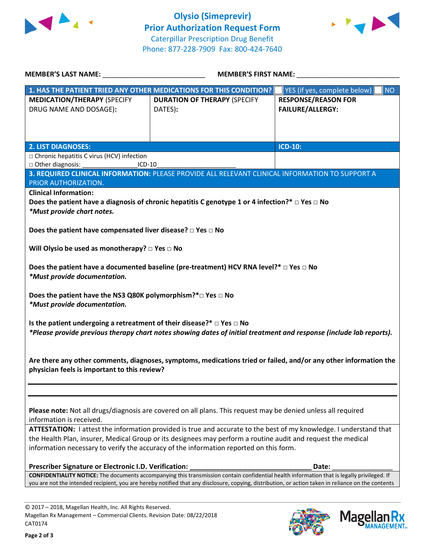



| <b>MEMBER'S FIRST NAME:</b><br><b>MEMBER'S LAST NAME:</b>                       |                                                                                                                                                                                                                                                                                                    |                                           |
|---------------------------------------------------------------------------------|----------------------------------------------------------------------------------------------------------------------------------------------------------------------------------------------------------------------------------------------------------------------------------------------------|-------------------------------------------|
|                                                                                 | 1. HAS THE PATIENT TRIED ANY OTHER MEDICATIONS FOR THIS CONDITION?                                                                                                                                                                                                                                 | <b>NO</b><br>YES (if yes, complete below) |
| <b>MEDICATION/THERAPY (SPECIFY</b>                                              | <b>DURATION OF THERAPY (SPECIFY</b>                                                                                                                                                                                                                                                                | <b>RESPONSE/REASON FOR</b>                |
| DRUG NAME AND DOSAGE):                                                          | DATES):                                                                                                                                                                                                                                                                                            | <b>FAILURE/ALLERGY:</b>                   |
|                                                                                 |                                                                                                                                                                                                                                                                                                    |                                           |
|                                                                                 |                                                                                                                                                                                                                                                                                                    |                                           |
| <b>2. LIST DIAGNOSES:</b>                                                       |                                                                                                                                                                                                                                                                                                    | <b>ICD-10:</b>                            |
| □ Chronic hepatitis C virus (HCV) infection                                     |                                                                                                                                                                                                                                                                                                    |                                           |
| □ Other diagnosis:<br>$ICD-10$                                                  |                                                                                                                                                                                                                                                                                                    |                                           |
|                                                                                 | 3. REQUIRED CLINICAL INFORMATION: PLEASE PROVIDE ALL RELEVANT CLINICAL INFORMATION TO SUPPORT A                                                                                                                                                                                                    |                                           |
| PRIOR AUTHORIZATION.                                                            |                                                                                                                                                                                                                                                                                                    |                                           |
| <b>Clinical Information:</b>                                                    |                                                                                                                                                                                                                                                                                                    |                                           |
|                                                                                 | Does the patient have a diagnosis of chronic hepatitis C genotype 1 or 4 infection?* $\Box$ Yes $\Box$ No                                                                                                                                                                                          |                                           |
| *Must provide chart notes.                                                      |                                                                                                                                                                                                                                                                                                    |                                           |
|                                                                                 |                                                                                                                                                                                                                                                                                                    |                                           |
| Does the patient have compensated liver disease? $\square$ Yes $\square$ No     |                                                                                                                                                                                                                                                                                                    |                                           |
|                                                                                 |                                                                                                                                                                                                                                                                                                    |                                           |
| Will Olysio be used as monotherapy? $\Box$ Yes $\Box$ No                        |                                                                                                                                                                                                                                                                                                    |                                           |
|                                                                                 |                                                                                                                                                                                                                                                                                                    |                                           |
|                                                                                 | Does the patient have a documented baseline (pre-treatment) HCV RNA level?* $\Box$ Yes $\Box$ No                                                                                                                                                                                                   |                                           |
| *Must provide documentation.                                                    |                                                                                                                                                                                                                                                                                                    |                                           |
|                                                                                 |                                                                                                                                                                                                                                                                                                    |                                           |
| Does the patient have the NS3 Q80K polymorphism?*□ Yes □ No                     |                                                                                                                                                                                                                                                                                                    |                                           |
| *Must provide documentation.                                                    |                                                                                                                                                                                                                                                                                                    |                                           |
|                                                                                 |                                                                                                                                                                                                                                                                                                    |                                           |
| Is the patient undergoing a retreatment of their disease?* $\Box$ Yes $\Box$ No |                                                                                                                                                                                                                                                                                                    |                                           |
|                                                                                 | *Please provide previous therapy chart notes showing dates of initial treatment and response (include lab reports).                                                                                                                                                                                |                                           |
|                                                                                 |                                                                                                                                                                                                                                                                                                    |                                           |
|                                                                                 |                                                                                                                                                                                                                                                                                                    |                                           |
|                                                                                 | Are there any other comments, diagnoses, symptoms, medications tried or failed, and/or any other information the                                                                                                                                                                                   |                                           |
| physician feels is important to this review?                                    |                                                                                                                                                                                                                                                                                                    |                                           |
|                                                                                 |                                                                                                                                                                                                                                                                                                    |                                           |
|                                                                                 |                                                                                                                                                                                                                                                                                                    |                                           |
|                                                                                 |                                                                                                                                                                                                                                                                                                    |                                           |
|                                                                                 |                                                                                                                                                                                                                                                                                                    |                                           |
|                                                                                 | Please note: Not all drugs/diagnosis are covered on all plans. This request may be denied unless all required                                                                                                                                                                                      |                                           |
| information is received.                                                        |                                                                                                                                                                                                                                                                                                    |                                           |
|                                                                                 | ATTESTATION: I attest the information provided is true and accurate to the best of my knowledge. I understand that                                                                                                                                                                                 |                                           |
|                                                                                 | the Health Plan, insurer, Medical Group or its designees may perform a routine audit and request the medical                                                                                                                                                                                       |                                           |
|                                                                                 | information necessary to verify the accuracy of the information reported on this form.                                                                                                                                                                                                             |                                           |
| Prescriber Signature or Electronic I.D. Verification:                           |                                                                                                                                                                                                                                                                                                    |                                           |
|                                                                                 |                                                                                                                                                                                                                                                                                                    | Date:                                     |
|                                                                                 |                                                                                                                                                                                                                                                                                                    |                                           |
|                                                                                 | CONFIDENTIALITY NOTICE: The documents accompanying this transmission contain confidential health information that is legally privileged. If<br>you are not the intended recipient, you are hereby notified that any disclosure, copying, distribution, or action taken in reliance on the contents |                                           |

© 2017 – 2018, Magellan Health, Inc. All Rights Reserved. Magellan Rx Management – Commercial Clients. Revision Date: 08/22/2018 CAT0174